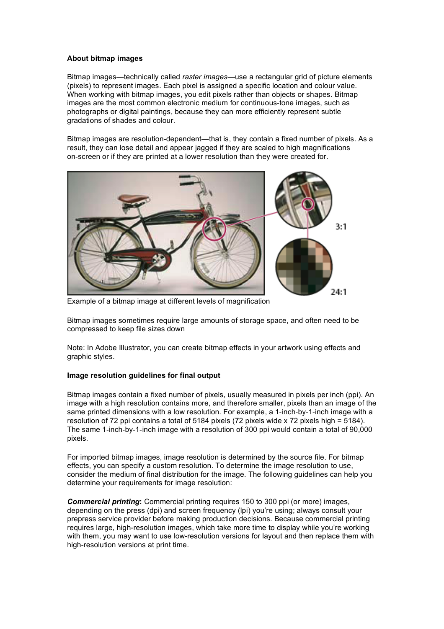## **About bitmap images**

Bitmap images—technically called *raster images*—use a rectangular grid of picture elements (pixels) to represent images. Each pixel is assigned a specific location and colour value. When working with bitmap images, you edit pixels rather than objects or shapes. Bitmap images are the most common electronic medium for continuous-tone images, such as photographs or digital paintings, because they can more efficiently represent subtle gradations of shades and colour.

Bitmap images are resolution-dependent—that is, they contain a fixed number of pixels. As a result, they can lose detail and appear jagged if they are scaled to high magnifications on-screen or if they are printed at a lower resolution than they were created for.



Example of a bitmap image at different levels of magnification

Bitmap images sometimes require large amounts of storage space, and often need to be compressed to keep file sizes down

Note: In Adobe Illustrator, you can create bitmap effects in your artwork using effects and graphic styles.

## **Image resolution guidelines for final output**

Bitmap images contain a fixed number of pixels, usually measured in pixels per inch (ppi). An image with a high resolution contains more, and therefore smaller, pixels than an image of the same printed dimensions with a low resolution. For example, a 1-inch-by-1-inch image with a resolution of 72 ppi contains a total of 5184 pixels (72 pixels wide x 72 pixels high = 5184). The same 1-inch-by-1-inch image with a resolution of 300 ppi would contain a total of 90,000 pixels.

For imported bitmap images, image resolution is determined by the source file. For bitmap effects, you can specify a custom resolution. To determine the image resolution to use, consider the medium of final distribution for the image. The following guidelines can help you determine your requirements for image resolution:

*Commercial printing***:** Commercial printing requires 150 to 300 ppi (or more) images, depending on the press (dpi) and screen frequency (lpi) you're using; always consult your prepress service provider before making production decisions. Because commercial printing requires large, high-resolution images, which take more time to display while you're working with them, you may want to use low-resolution versions for layout and then replace them with high-resolution versions at print time.